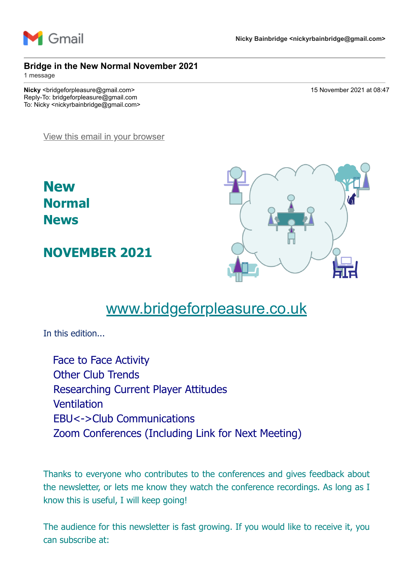

#### **Bridge in the New Normal November 2021**

1 message

**Nicky** <br/>  $\sim$  15 November 2021 at 08:47 Reply-To: bridgeforpleasure@gmail.com To: Nicky <nickyrbainbridge@gmail.com>

[View this email in your browser](https://mailchi.mp/7714998750b1/bridge-in-the-new-normal-november-2021?e=7736085cbd)

**New Normal News**

**NOVEMBER 2021**



# [www.bridgeforpleasure.co.uk](https://rugbyvillagebridge.us16.list-manage.com/track/click?u=5ca90c1560213b9616359b892&id=1d2884e1b2&e=7736085cbd)

In this edition...

Face to Face Activity Other Club Trends Researching Current Player Attitudes Ventilation EBU<->Club Communications Zoom Conferences (Including Link for Next Meeting)

Thanks to everyone who contributes to the conferences and gives feedback about the newsletter, or lets me know they watch the conference recordings. As long as I know this is useful, I will keep going!

The audience for this newsletter is fast growing. If you would like to receive it, you can subscribe at: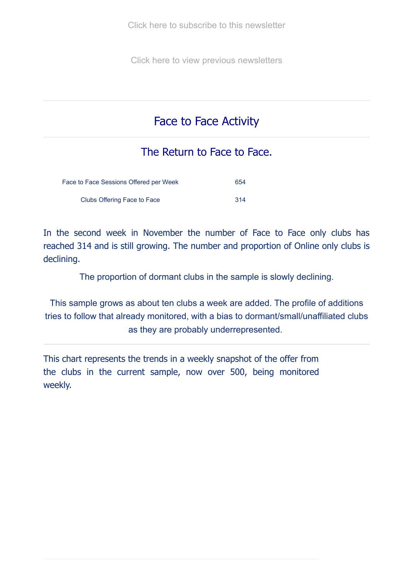[Click here to subscribe to this newsletter](https://rugbyvillagebridge.us16.list-manage.com/track/click?u=5ca90c1560213b9616359b892&id=6dbcfe91dd&e=7736085cbd)

[Click here to view previous newsletters](https://rugbyvillagebridge.us16.list-manage.com/track/click?u=5ca90c1560213b9616359b892&id=5e40cd4833&e=7736085cbd)

## Face to Face Activity

### The Return to Face to Face.

| Face to Face Sessions Offered per Week |      |  |  |  |
|----------------------------------------|------|--|--|--|
| Clubs Offering Face to Face            | -314 |  |  |  |

In the second week in November the number of Face to Face only clubs has reached 314 and is still growing. The number and proportion of Online only clubs is declining.

The proportion of dormant clubs in the sample is slowly declining.

This sample grows as about ten clubs a week are added. The profile of additions tries to follow that already monitored, with a bias to dormant/small/unaffiliated clubs as they are probably underrepresented.

This chart represents the trends in a weekly snapshot of the offer from the clubs in the current sample, now over 500, being monitored weekly.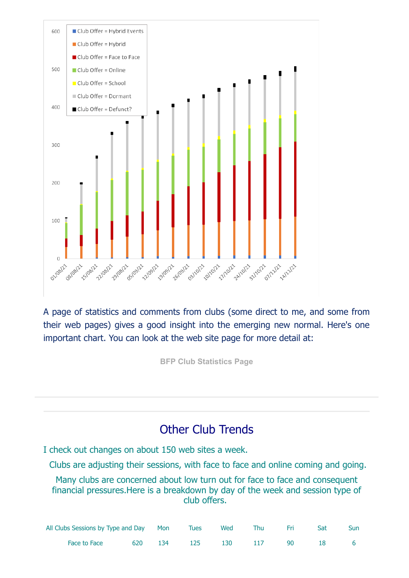

A page of statistics and comments from clubs (some direct to me, and some from their web pages) gives a good insight into the emerging new normal. Here's one important chart. You can look at the web site page for more detail at:

**[BFP Club Statistics Page](https://rugbyvillagebridge.us16.list-manage.com/track/click?u=5ca90c1560213b9616359b892&id=5be1f74ef8&e=7736085cbd)**

## Other Club Trends

I check out changes on about 150 web sites a week.

Clubs are adjusting their sessions, with face to face and online coming and going.

Many clubs are concerned about low turn out for face to face and consequent financial pressures.Here is a breakdown by day of the week and session type of club offers.

| All Clubs Sessions by Type and Day Mon Tues Wed Thu Fri Sat |  |                             |  |  | Sun |
|-------------------------------------------------------------|--|-----------------------------|--|--|-----|
| Face to Face                                                |  | 620 134 125 130 117 90 18 6 |  |  |     |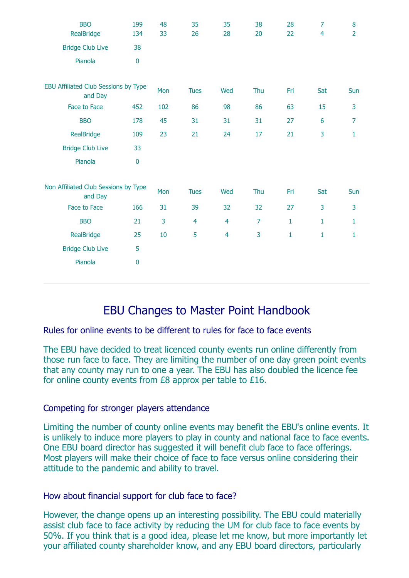| <b>BBO</b>                                      | 199       | 48  | 35             | 35             | 38             | 28           | 7              | 8              |
|-------------------------------------------------|-----------|-----|----------------|----------------|----------------|--------------|----------------|----------------|
| RealBridge                                      | 134       | 33  | 26             | 28             | 20             | 22           | $\overline{4}$ | $\overline{2}$ |
| <b>Bridge Club Live</b>                         | 38        |     |                |                |                |              |                |                |
| Pianola                                         | $\bf{0}$  |     |                |                |                |              |                |                |
| EBU Affiliated Club Sessions by Type<br>and Day |           | Mon | <b>Tues</b>    | Wed            | Thu            | Fri          | Sat            | Sun            |
| Face to Face                                    | 452       | 102 | 86             | 98             | 86             | 63           | 15             | 3              |
| <b>BBO</b>                                      | 178       | 45  | 31             | 31             | 31             | 27           | 6              | $\overline{7}$ |
| RealBridge                                      | 109       | 23  | 21             | 24             | 17             | 21           | 3              | $\mathbf 1$    |
| <b>Bridge Club Live</b>                         | 33        |     |                |                |                |              |                |                |
| Pianola                                         | $\pmb{0}$ |     |                |                |                |              |                |                |
| Non Affiliated Club Sessions by Type<br>and Day |           | Mon | <b>Tues</b>    | Wed            | Thu            | Fri          | Sat            | Sun            |
| Face to Face                                    | 166       | 31  | 39             | 32             | 32             | 27           | 3              | 3              |
| <b>BBO</b>                                      | 21        | 3   | $\overline{4}$ | $\overline{4}$ | $\overline{7}$ | $\mathbf{1}$ | $\mathbf{1}$   | $\mathbf{1}$   |
| RealBridge                                      | 25        | 10  | 5              | $\overline{4}$ | 3              | $\mathbf{1}$ | $\mathbf{1}$   | $\mathbf{1}$   |
| <b>Bridge Club Live</b>                         | 5         |     |                |                |                |              |                |                |
| Pianola                                         | $\pmb{0}$ |     |                |                |                |              |                |                |

## EBU Changes to Master Point Handbook

#### Rules for online events to be different to rules for face to face events

The EBU have decided to treat licenced county events run online differently from those run face to face. They are limiting the number of one day green point events that any county may run to one a year. The EBU has also doubled the licence fee for online county events from £8 approx per table to £16.

#### Competing for stronger players attendance

Limiting the number of county online events may benefit the EBU's online events. It is unlikely to induce more players to play in county and national face to face events. One EBU board director has suggested it will benefit club face to face offerings. Most players will make their choice of face to face versus online considering their attitude to the pandemic and ability to travel.

#### How about financial support for club face to face?

However, the change opens up an interesting possibility. The EBU could materially assist club face to face activity by reducing the UM for club face to face events by 50%. If you think that is a good idea, please let me know, but more importantly let your affiliated county shareholder know, and any EBU board directors, particularly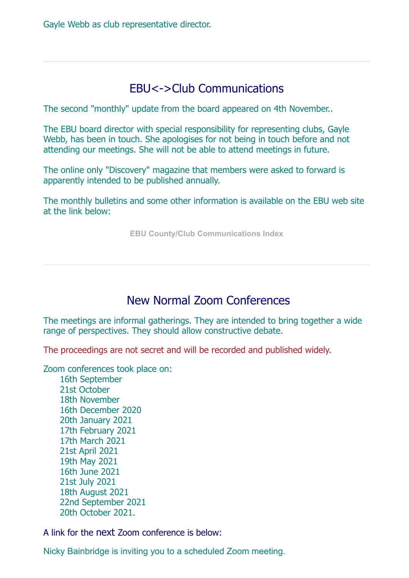## EBU<->Club Communications

The second "monthly" update from the board appeared on 4th November..

The EBU board director with special responsibility for representing clubs, Gayle Webb, has been in touch. She apologises for not being in touch before and not attending our meetings. She will not be able to attend meetings in future.

The online only "Discovery" magazine that members were asked to forward is apparently intended to be published annually.

The monthly bulletins and some other information is available on the EBU web site at the link below:

**[EBU County/Club Communications Index](https://rugbyvillagebridge.us16.list-manage.com/track/click?u=5ca90c1560213b9616359b892&id=7bcd6c0ecc&e=7736085cbd)**

## New Normal Zoom Conferences

The meetings are informal gatherings. They are intended to bring together a wide range of perspectives. They should allow constructive debate.

The proceedings are not secret and will be recorded and published widely.

Zoom conferences took place on:

 16th September 21st October 18th November 16th December 2020 20th January 2021 17th February 2021 17th March 2021 21st April 2021 19th May 2021 16th June 2021 21st July 2021 18th August 2021 22nd September 2021 20th October 2021.

A link for the next Zoom conference is below:

Nicky Bainbridge is inviting you to a scheduled Zoom meeting.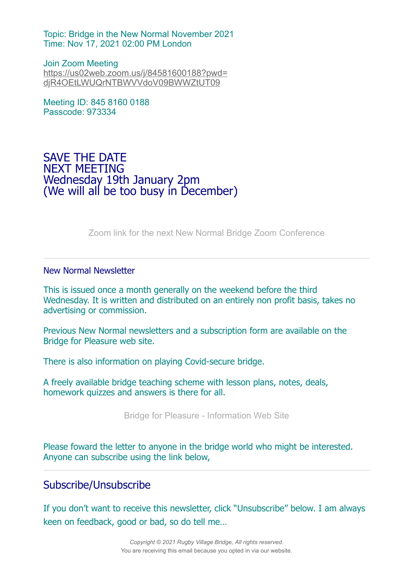Topic: Bridge in the New Normal November 2021 Time: Nov 17, 2021 02:00 PM London

Join Zoom Meeting [https://us02web.zoom.us/j/84581600188?pwd=](https://rugbyvillagebridge.us16.list-manage.com/track/click?u=5ca90c1560213b9616359b892&id=ee3dacddba&e=7736085cbd) djR4OEtLWUQrNTBWVVdoV09BWWZtUT09

Meeting ID: 845 8160 0188 Passcode: 973334

### SAVE THE DATE NEXT MEETING Wednesday 19th January 2pm (We will all be too busy in December)

[Zoom link for the next New Normal Bridge Zoom Conference](https://rugbyvillagebridge.us16.list-manage.com/track/click?u=5ca90c1560213b9616359b892&id=9bce3a3048&e=7736085cbd)

#### New Normal Newsletter

This is issued once a month generally on the weekend before the third Wednesday. It is written and distributed on an entirely non profit basis, takes no advertising or commission.

Previous New Normal newsletters and a subscription form are available on the Bridge for Pleasure web site.

There is also information on playing Covid-secure bridge.

A freely available bridge teaching scheme with lesson plans, notes, deals, homework quizzes and answers is there for all.

[Bridge for Pleasure - Information Web Site](https://rugbyvillagebridge.us16.list-manage.com/track/click?u=5ca90c1560213b9616359b892&id=7eaa648099&e=7736085cbd)

Please foward the letter to anyone in the bridge world who might be interested. Anyone can subscribe using the link below,

#### Subscribe/Unsubscribe

If you don't want to receive this newsletter, click "Unsubscribe" below. I am always keen on feedback, good or bad, so do tell me…